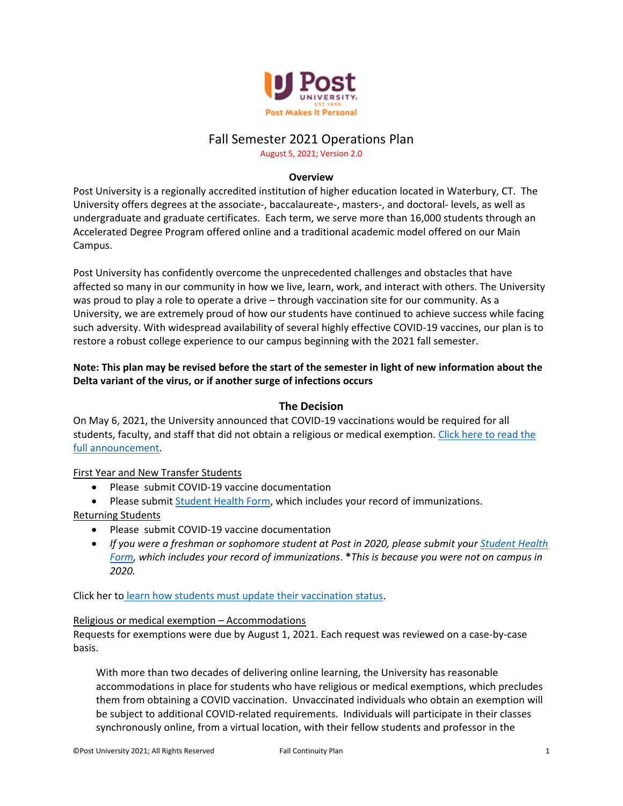

# Fall Semester 2021 Operations Plan

August 5, 2021; Version 2.0

## **Overview**

Post University is a regionally accredited institution of higher education located in Waterbury, CT. The University offers degrees at the associate-, baccalaureate-, masters-, and doctoral- levels, as well as undergraduate and graduate certificates. Each term, we serve more than 16,000 students through an Accelerated Degree Program offered online and a traditional academic model offered on our Main Campus.

Post University has confidently overcome the unprecedented challenges and obstacles that have affected so many in our community in how we live, learn, work, and interact with others. The University was proud to play a role to operate a drive – through vaccination site for our community. As a University, we are extremely proud of how our students have continued to achieve success while facing such adversity. With widespread availability of several highly effective COVID-19 vaccines, our plan is to restore a robust college experience to our campus beginning with the 2021 fall semester.

# **Note: This plan may be revised before the start of the semester in light of new information about the Delta variant of the virus, or if another surge of infections occurs**

# **The Decision**

On May 6, 2021, the University announced that COVID-19 vaccinations would be required for all students, faculty, and staff that did not obtain a religious or medical exemption. Click here to read the [full announcement.](https://post.edu/blog/message-to-campus-community-students-families-vaccine-message/)

## First Year and New Transfer Students

- Please submit COVID-19 vaccine documentation
- Please submi[t Student Health Form,](https://post.edu/student-services/health-services/health-forms/) which includes your record of immunizations.

## Returning Students

- Please submit COVID-19 vaccine documentation
- *If you were a freshman or sophomore student at Post in 2020, please submit your [Student Health](https://post.edu/student-services/health-services/health-forms/)  [Form,](https://post.edu/student-services/health-services/health-forms/) which includes your record of immunizations*. **\****This is because you were not on campus in 2020.*

Click her to [learn how students must update their vaccination status.](https://post.edu/blog/what-students-need-to-know-about-updating-your-vaccination-status-for-fall/)

## Religious or medical exemption – Accommodations

Requests for exemptions were due by August 1, 2021. Each request was reviewed on a case-by-case basis.

With more than two decades of delivering online learning, the University has reasonable accommodations in place for students who have religious or medical exemptions, which precludes them from obtaining a COVID vaccination. Unvaccinated individuals who obtain an exemption will be subject to additional COVID-related requirements. Individuals will participate in their classes synchronously online, from a virtual location, with their fellow students and professor in the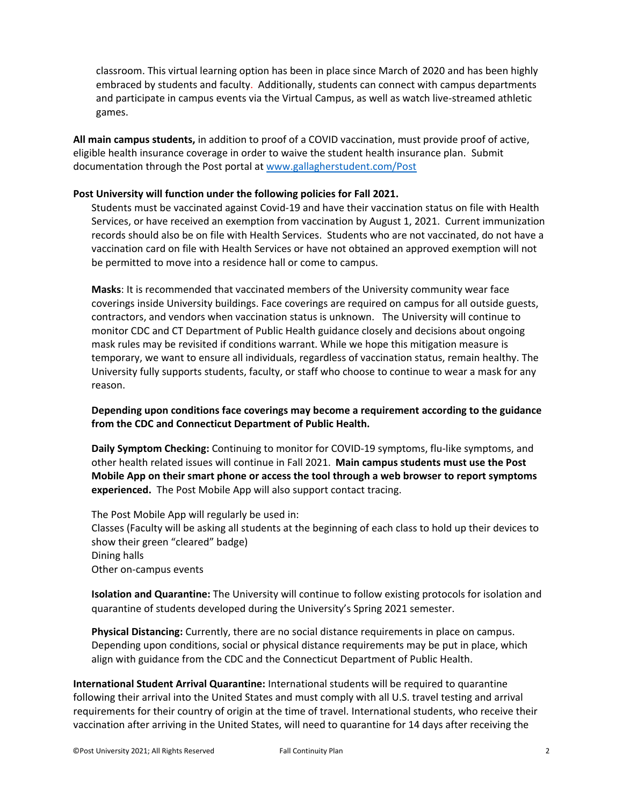classroom. This virtual learning option has been in place since March of 2020 and has been highly embraced by students and faculty. Additionally, students can connect with campus departments and participate in campus events via the Virtual Campus, as well as watch live-streamed athletic games.

**All main campus students,** in addition to proof of a COVID vaccination, must provide proof of active, eligible health insurance coverage in order to waive the student health insurance plan. Submit documentation through the Post portal at [www.gallagherstudent.com/Post](http://www.gallagherstudent.com/Post)

#### **Post University will function under the following policies for Fall 2021.**

Students must be vaccinated against Covid-19 and have their vaccination status on file with Health Services, or have received an exemption from vaccination by August 1, 2021. Current immunization records should also be on file with Health Services. Students who are not vaccinated, do not have a vaccination card on file with Health Services or have not obtained an approved exemption will not be permitted to move into a residence hall or come to campus.

**Masks**: It is recommended that vaccinated members of the University community wear face coverings inside University buildings. Face coverings are required on campus for all outside guests, contractors, and vendors when vaccination status is unknown. The University will continue to monitor CDC and CT Department of Public Health guidance closely and decisions about ongoing mask rules may be revisited if conditions warrant. While we hope this mitigation measure is temporary, we want to ensure all individuals, regardless of vaccination status, remain healthy. The University fully supports students, faculty, or staff who choose to continue to wear a mask for any reason.

**Depending upon conditions face coverings may become a requirement according to the guidance from the CDC and Connecticut Department of Public Health.** 

**Daily Symptom Checking:** Continuing to monitor for COVID-19 symptoms, flu-like symptoms, and other health related issues will continue in Fall 2021. **Main campus students must use the Post Mobile App on their smart phone or access the tool through a web browser to report symptoms experienced.** The Post Mobile App will also support contact tracing.

The Post Mobile App will regularly be used in: Classes (Faculty will be asking all students at the beginning of each class to hold up their devices to show their green "cleared" badge) Dining halls Other on-campus events

**Isolation and Quarantine:** The University will continue to follow existing protocols for isolation and quarantine of students developed during the University's Spring 2021 semester.

**Physical Distancing:** Currently, there are no social distance requirements in place on campus. Depending upon conditions, social or physical distance requirements may be put in place, which align with guidance from the CDC and the Connecticut Department of Public Health.

**International Student Arrival Quarantine:** International students will be required to quarantine following their arrival into the United States and must comply with all U.S. travel testing and arrival requirements for their country of origin at the time of travel. International students, who receive their vaccination after arriving in the United States, will need to quarantine for 14 days after receiving the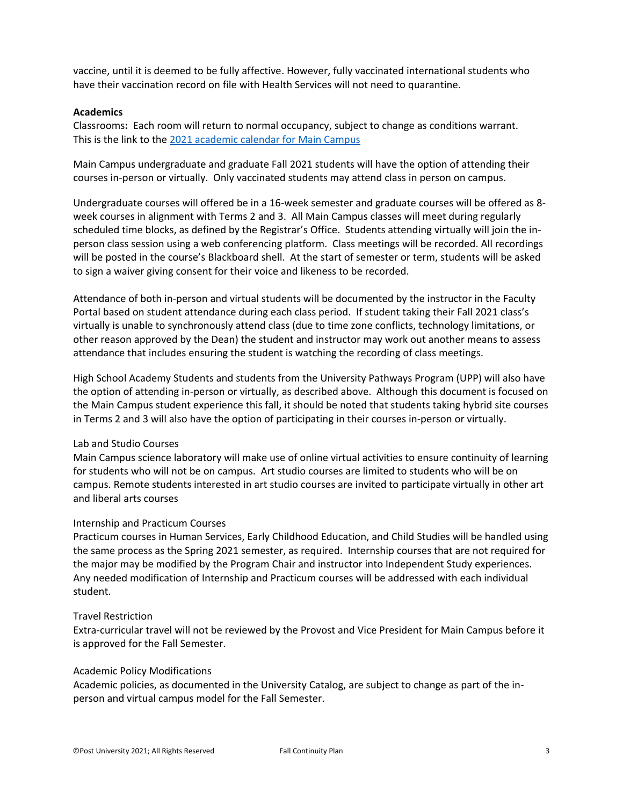vaccine, until it is deemed to be fully affective. However, fully vaccinated international students who have their vaccination record on file with Health Services will not need to quarantine.

#### **Academics**

Classrooms**:** Each room will return to normal occupancy, subject to change as conditions warrant. This is the link to the [2021 academic calendar for Main Campus](https://post.edu/student-services/registrar/academic-calendar/)

Main Campus undergraduate and graduate Fall 2021 students will have the option of attending their courses in-person or virtually. Only vaccinated students may attend class in person on campus.

Undergraduate courses will offered be in a 16-week semester and graduate courses will be offered as 8 week courses in alignment with Terms 2 and 3. All Main Campus classes will meet during regularly scheduled time blocks, as defined by the Registrar's Office. Students attending virtually will join the inperson class session using a web conferencing platform. Class meetings will be recorded. All recordings will be posted in the course's Blackboard shell. At the start of semester or term, students will be asked to sign a waiver giving consent for their voice and likeness to be recorded.

Attendance of both in-person and virtual students will be documented by the instructor in the Faculty Portal based on student attendance during each class period. If student taking their Fall 2021 class's virtually is unable to synchronously attend class (due to time zone conflicts, technology limitations, or other reason approved by the Dean) the student and instructor may work out another means to assess attendance that includes ensuring the student is watching the recording of class meetings.

High School Academy Students and students from the University Pathways Program (UPP) will also have the option of attending in-person or virtually, as described above. Although this document is focused on the Main Campus student experience this fall, it should be noted that students taking hybrid site courses in Terms 2 and 3 will also have the option of participating in their courses in-person or virtually.

#### Lab and Studio Courses

Main Campus science laboratory will make use of online virtual activities to ensure continuity of learning for students who will not be on campus. Art studio courses are limited to students who will be on campus. Remote students interested in art studio courses are invited to participate virtually in other art and liberal arts courses

#### Internship and Practicum Courses

Practicum courses in Human Services, Early Childhood Education, and Child Studies will be handled using the same process as the Spring 2021 semester, as required. Internship courses that are not required for the major may be modified by the Program Chair and instructor into Independent Study experiences. Any needed modification of Internship and Practicum courses will be addressed with each individual student.

#### Travel Restriction

Extra-curricular travel will not be reviewed by the Provost and Vice President for Main Campus before it is approved for the Fall Semester.

#### Academic Policy Modifications

Academic policies, as documented in the University Catalog, are subject to change as part of the inperson and virtual campus model for the Fall Semester.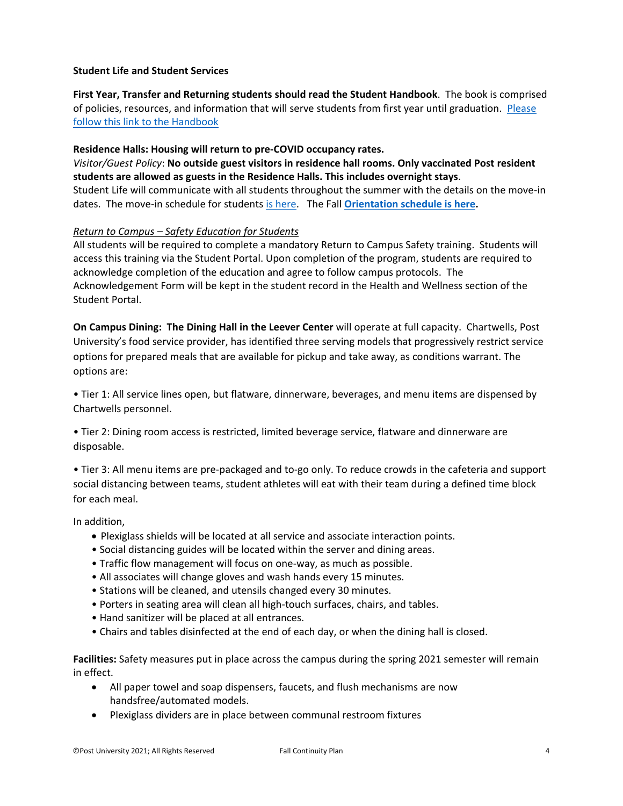#### **Student Life and Student Services**

**First Year, Transfer and Returning students should read the Student Handbook**. The book is comprised of policies, resources, and information that will serve students from first year until graduation. [Please](https://post.edu/student-services/student-affairs/student-handbook/)  [follow this link to the Handbook](https://post.edu/student-services/student-affairs/student-handbook/)

## **Residence Halls: Housing will return to pre-COVID occupancy rates.**

*Visitor/Guest Policy*: **No outside guest visitors in residence hall rooms. Only vaccinated Post resident students are allowed as guests in the Residence Halls. This includes overnight stays**. Student Life will communicate with all students throughout the summer with the details on the move-in dates. The move-in schedule for students [is here.](https://post.edu/orientation/) The Fall **[Orientation schedule is here.](https://post.edu/orientation/)** 

## *Return to Campus – Safety Education for Students*

All students will be required to complete a mandatory Return to Campus Safety training. Students will access this training via the Student Portal. Upon completion of the program, students are required to acknowledge completion of the education and agree to follow campus protocols. The Acknowledgement Form will be kept in the student record in the Health and Wellness section of the Student Portal.

**On Campus Dining: The Dining Hall in the Leever Center** will operate at full capacity. Chartwells, Post University's food service provider, has identified three serving models that progressively restrict service options for prepared meals that are available for pickup and take away, as conditions warrant. The options are:

• Tier 1: All service lines open, but flatware, dinnerware, beverages, and menu items are dispensed by Chartwells personnel.

• Tier 2: Dining room access is restricted, limited beverage service, flatware and dinnerware are disposable.

• Tier 3: All menu items are pre-packaged and to-go only. To reduce crowds in the cafeteria and support social distancing between teams, student athletes will eat with their team during a defined time block for each meal.

In addition,

- Plexiglass shields will be located at all service and associate interaction points.
- Social distancing guides will be located within the server and dining areas.
- Traffic flow management will focus on one-way, as much as possible.
- All associates will change gloves and wash hands every 15 minutes.
- Stations will be cleaned, and utensils changed every 30 minutes.
- Porters in seating area will clean all high-touch surfaces, chairs, and tables.
- Hand sanitizer will be placed at all entrances.
- Chairs and tables disinfected at the end of each day, or when the dining hall is closed.

**Facilities:** Safety measures put in place across the campus during the spring 2021 semester will remain in effect.

- All paper towel and soap dispensers, faucets, and flush mechanisms are now handsfree/automated models.
- Plexiglass dividers are in place between communal restroom fixtures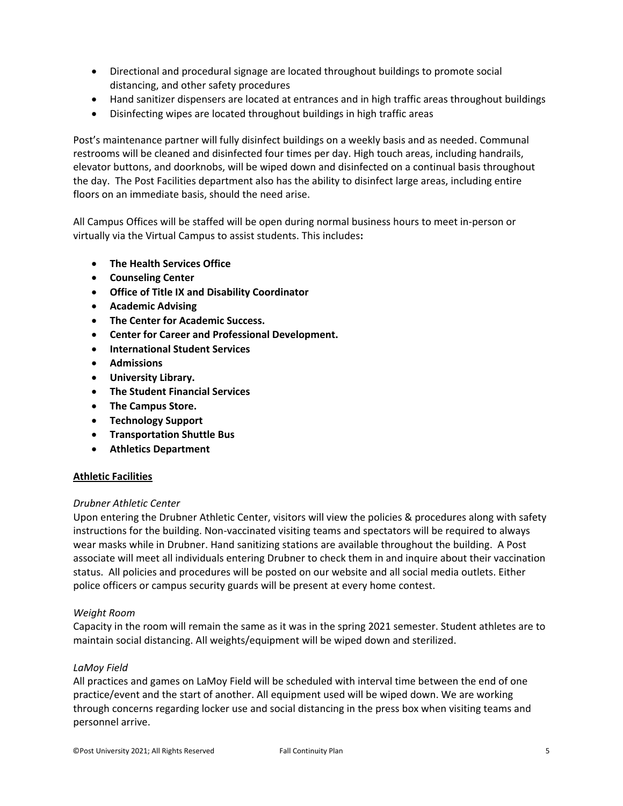- Directional and procedural signage are located throughout buildings to promote social distancing, and other safety procedures
- Hand sanitizer dispensers are located at entrances and in high traffic areas throughout buildings
- Disinfecting wipes are located throughout buildings in high traffic areas

Post's maintenance partner will fully disinfect buildings on a weekly basis and as needed. Communal restrooms will be cleaned and disinfected four times per day. High touch areas, including handrails, elevator buttons, and doorknobs, will be wiped down and disinfected on a continual basis throughout the day. The Post Facilities department also has the ability to disinfect large areas, including entire floors on an immediate basis, should the need arise.

All Campus Offices will be staffed will be open during normal business hours to meet in-person or virtually via the Virtual Campus to assist students. This includes**:**

- **The Health Services Office**
- **Counseling Center**
- **Office of Title IX and Disability Coordinator**
- **Academic Advising**
- **The Center for Academic Success.**
- **Center for Career and Professional Development.**
- **International Student Services**
- **Admissions**
- **University Library.**
- **The Student Financial Services**
- **The Campus Store.**
- **Technology Support**
- **Transportation Shuttle Bus**
- **Athletics Department**

## **Athletic Facilities**

#### *Drubner Athletic Center*

Upon entering the Drubner Athletic Center, visitors will view the policies & procedures along with safety instructions for the building. Non-vaccinated visiting teams and spectators will be required to always wear masks while in Drubner. Hand sanitizing stations are available throughout the building. A Post associate will meet all individuals entering Drubner to check them in and inquire about their vaccination status. All policies and procedures will be posted on our website and all social media outlets. Either police officers or campus security guards will be present at every home contest.

#### *Weight Room*

Capacity in the room will remain the same as it was in the spring 2021 semester. Student athletes are to maintain social distancing. All weights/equipment will be wiped down and sterilized.

#### *LaMoy Field*

All practices and games on LaMoy Field will be scheduled with interval time between the end of one practice/event and the start of another. All equipment used will be wiped down. We are working through concerns regarding locker use and social distancing in the press box when visiting teams and personnel arrive.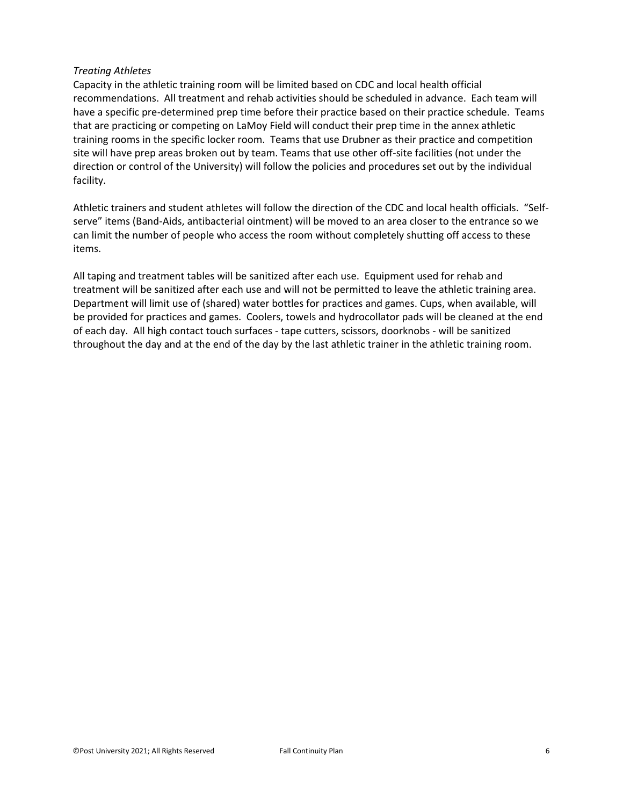#### *Treating Athletes*

Capacity in the athletic training room will be limited based on CDC and local health official recommendations. All treatment and rehab activities should be scheduled in advance. Each team will have a specific pre-determined prep time before their practice based on their practice schedule. Teams that are practicing or competing on LaMoy Field will conduct their prep time in the annex athletic training rooms in the specific locker room. Teams that use Drubner as their practice and competition site will have prep areas broken out by team. Teams that use other off-site facilities (not under the direction or control of the University) will follow the policies and procedures set out by the individual facility.

Athletic trainers and student athletes will follow the direction of the CDC and local health officials. "Selfserve" items (Band-Aids, antibacterial ointment) will be moved to an area closer to the entrance so we can limit the number of people who access the room without completely shutting off access to these items.

All taping and treatment tables will be sanitized after each use. Equipment used for rehab and treatment will be sanitized after each use and will not be permitted to leave the athletic training area. Department will limit use of (shared) water bottles for practices and games. Cups, when available, will be provided for practices and games. Coolers, towels and hydrocollator pads will be cleaned at the end of each day. All high contact touch surfaces - tape cutters, scissors, doorknobs - will be sanitized throughout the day and at the end of the day by the last athletic trainer in the athletic training room.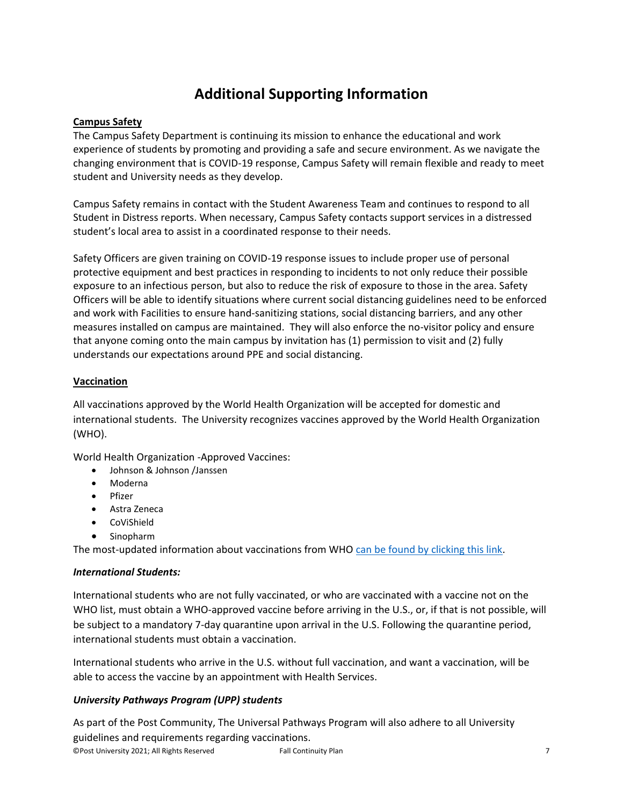# **Additional Supporting Information**

## **Campus Safety**

The Campus Safety Department is continuing its mission to enhance the educational and work experience of students by promoting and providing a safe and secure environment. As we navigate the changing environment that is COVID-19 response, Campus Safety will remain flexible and ready to meet student and University needs as they develop.

Campus Safety remains in contact with the Student Awareness Team and continues to respond to all Student in Distress reports. When necessary, Campus Safety contacts support services in a distressed student's local area to assist in a coordinated response to their needs.

Safety Officers are given training on COVID-19 response issues to include proper use of personal protective equipment and best practices in responding to incidents to not only reduce their possible exposure to an infectious person, but also to reduce the risk of exposure to those in the area. Safety Officers will be able to identify situations where current social distancing guidelines need to be enforced and work with Facilities to ensure hand-sanitizing stations, social distancing barriers, and any other measures installed on campus are maintained. They will also enforce the no-visitor policy and ensure that anyone coming onto the main campus by invitation has (1) permission to visit and (2) fully understands our expectations around PPE and social distancing.

## **Vaccination**

All vaccinations approved by the World Health Organization will be accepted for domestic and international students. The University recognizes vaccines approved by the World Health Organization (WHO).

World Health Organization -Approved Vaccines:

- Johnson & Johnson /Janssen
- Moderna
- Pfizer
- Astra Zeneca
- CoViShield
- Sinopharm

The most-updated information about vaccinations from WHO [can be found by clicking this link.](https://www.who.int/emergencies/diseases/novel-coronavirus-2019/covid-19-vaccines)

## *International Students:*

International students who are not fully vaccinated, or who are vaccinated with a vaccine not on the WHO list, must obtain a WHO-approved vaccine before arriving in the U.S., or, if that is not possible, will be subject to a mandatory 7-day quarantine upon arrival in the U.S. Following the quarantine period, international students must obtain a vaccination.

International students who arrive in the U.S. without full vaccination, and want a vaccination, will be able to access the vaccine by an appointment with Health Services.

# *University Pathways Program (UPP) students*

©Post University 2021; All Rights Reserved Fall Continuity Plan 7 As part of the Post Community, The Universal Pathways Program will also adhere to all University guidelines and requirements regarding vaccinations.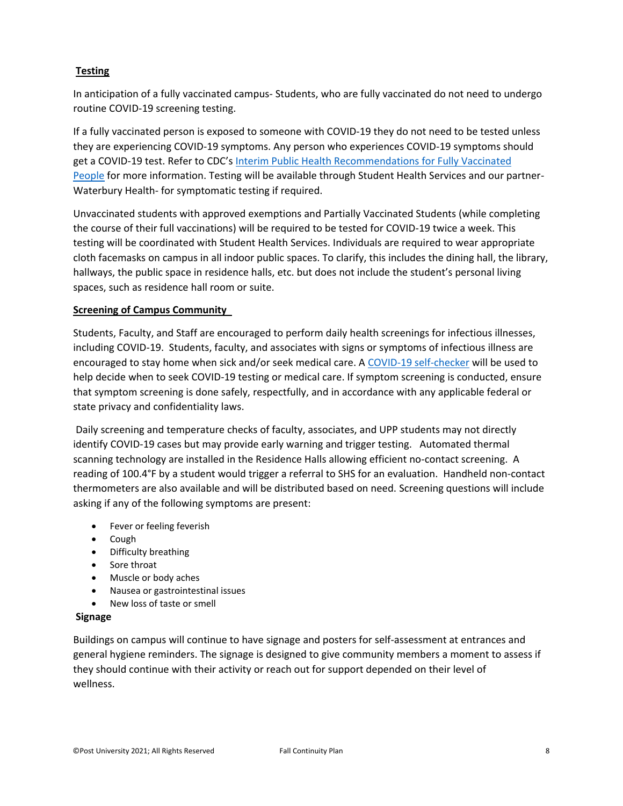## **Testing**

In anticipation of a fully vaccinated campus- Students, who are fully vaccinated do not need to undergo routine COVID-19 screening testing.

If a fully vaccinated person is exposed to someone with COVID-19 they do not need to be tested unless they are experiencing COVID-19 symptoms. Any person who experiences COVID-19 symptoms should get a COVID-19 test. Refer to CDC's [Interim Public Health Recommendations for Fully Vaccinated](https://www.cdc.gov/coronavirus/2019-ncov/vaccines/fully-vaccinated-guidance.html)  [People](https://www.cdc.gov/coronavirus/2019-ncov/vaccines/fully-vaccinated-guidance.html) for more information. Testing will be available through Student Health Services and our partner-Waterbury Health- for symptomatic testing if required.

Unvaccinated students with approved exemptions and Partially Vaccinated Students (while completing the course of their full vaccinations) will be required to be tested for COVID-19 twice a week. This testing will be coordinated with Student Health Services. Individuals are required to wear appropriate cloth facemasks on campus in all indoor public spaces. To clarify, this includes the dining hall, the library, hallways, the public space in residence halls, etc. but does not include the student's personal living spaces, such as residence hall room or suite.

## **Screening of Campus Community**

Students, Faculty, and Staff are encouraged to perform daily health screenings for infectious illnesses, including COVID-19. Students, faculty, and associates with signs or symptoms of infectious illness are encouraged to stay home when sick and/or seek medical care. A [COVID-19 self-checker](https://www.cdc.gov/coronavirus/2019-ncov/symptoms-testing/coronavirus-self-checker.html) will be used to help decide when to seek COVID-19 testing or medical care. If symptom screening is conducted, ensure that symptom screening is done safely, respectfully, and in accordance with any applicable federal or state privacy and confidentiality laws.

Daily screening and temperature checks of faculty, associates, and UPP students may not directly identify COVID-19 cases but may provide early warning and trigger testing. Automated thermal scanning technology are installed in the Residence Halls allowing efficient no-contact screening. A reading of 100.4°F by a student would trigger a referral to SHS for an evaluation. Handheld non-contact thermometers are also available and will be distributed based on need. Screening questions will include asking if any of the following symptoms are present:

- **•** Fever or feeling feverish
- Cough
- Difficulty breathing
- Sore throat
- Muscle or body aches
- Nausea or gastrointestinal issues
- New loss of taste or smell

#### **Signage**

Buildings on campus will continue to have signage and posters for self-assessment at entrances and general hygiene reminders. The signage is designed to give community members a moment to assess if they should continue with their activity or reach out for support depended on their level of wellness.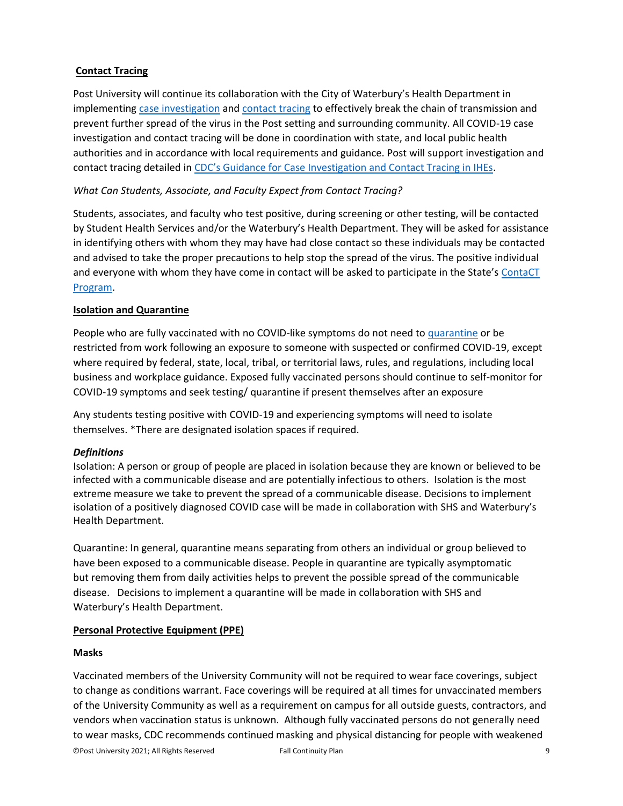## **Contact Tracing**

Post University will continue its collaboration with the City of Waterbury's Health Department in implementing [case investigation](https://www.cdc.gov/coronavirus/2019-ncov/downloads/php/COVID-19-Case-Investigation-workflow.pdf) and [contact tracing](https://www.cdc.gov/coronavirus/2019-ncov/downloads/php/COVID-19ContactTracingFlowChart.pdf) to effectively break the chain of transmission and prevent further spread of the virus in the Post setting and surrounding community. All COVID-19 case investigation and contact tracing will be done in coordination with state, and local public health authorities and in accordance with local requirements and guidance. Post will support investigation and contact tracing detailed in [CDC's Guidance for Case Investigation and Contact Tracing in IHEs](https://www.cdc.gov/coronavirus/2019-ncov/community/schools-childcare/contact-tracing.html?CDC_AA_refVal=https%3A%2F%2Fwww.cdc.gov%2Fcoronavirus%2F2019-ncov%2Fcommunity%2Fcolleges-universities%2Fcontact-tracing.html).

## *What Can Students, Associate, and Faculty Expect from Contact Tracing?*

Students, associates, and faculty who test positive, during screening or other testing, will be contacted by Student Health Services and/or the Waterbury's Health Department. They will be asked for assistance in identifying others with whom they may have had close contact so these individuals may be contacted and advised to take the proper precautions to help stop the spread of the virus. The positive individual and everyone with whom they have come in contact will be asked to participate in the State's ContaCT [Program.](https://portal.ct.gov/Coronavirus/ContaCT)

## **Isolation and Quarantine**

People who are fully vaccinated with no COVID-like symptoms do not need to [quarantine](https://www.cdc.gov/coronavirus/2019-ncov/if-you-are-sick/quarantine.html) or be restricted from work following an exposure to someone with suspected or confirmed COVID-19, except where required by federal, state, local, tribal, or territorial laws, rules, and regulations, including local business and workplace guidance. Exposed fully vaccinated persons should continue to self-monitor for COVID-19 symptoms and seek testing/ quarantine if present themselves after an exposure

Any students testing positive with COVID-19 and experiencing symptoms will need to isolate themselves. \*There are designated isolation spaces if required.

## *Definitions*

Isolation: A person or group of people are placed in isolation because they are known or believed to be infected with a communicable disease and are potentially infectious to others. Isolation is the most extreme measure we take to prevent the spread of a communicable disease. Decisions to implement isolation of a positively diagnosed COVID case will be made in collaboration with SHS and Waterbury's Health Department.

Quarantine: In general, quarantine means separating from others an individual or group believed to have been exposed to a communicable disease. People in quarantine are typically asymptomatic but removing them from daily activities helps to prevent the possible spread of the communicable disease. Decisions to implement a quarantine will be made in collaboration with SHS and Waterbury's Health Department.

## **Personal Protective Equipment (PPE)**

## **Masks**

Vaccinated members of the University Community will not be required to wear face coverings, subject to change as conditions warrant. Face coverings will be required at all times for unvaccinated members of the University Community as well as a requirement on campus for all outside guests, contractors, and vendors when vaccination status is unknown. Although fully vaccinated persons do not generally need to wear masks, CDC recommends continued masking and physical distancing for people with weakened

©Post University 2021; All Rights Reserved Fall Continuity Plan 9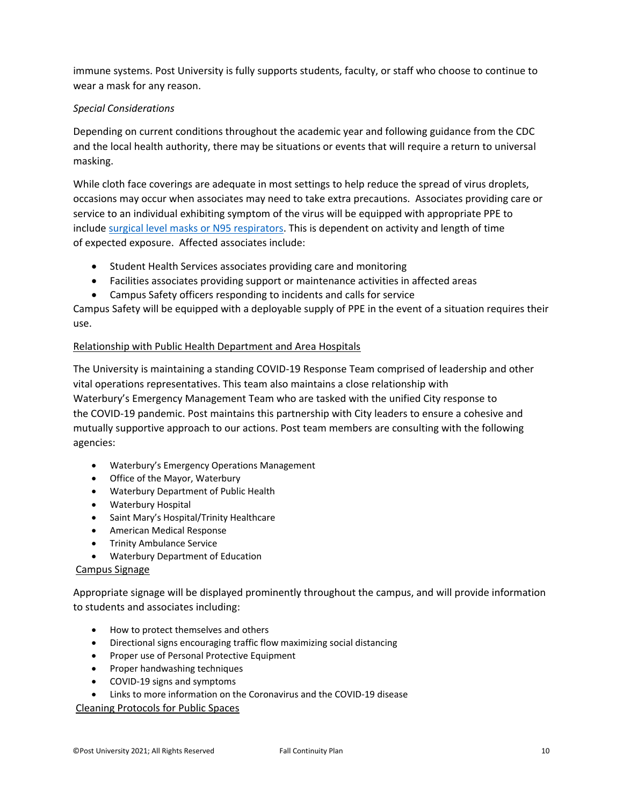immune systems. Post University is fully supports students, faculty, or staff who choose to continue to wear a mask for any reason.

## *Special Considerations*

Depending on current conditions throughout the academic year and following guidance from the CDC and the local health authority, there may be situations or events that will require a return to universal masking.

While cloth face coverings are adequate in most settings to help reduce the spread of virus droplets, occasions may occur when associates may need to take extra precautions. Associates providing care or service to an individual exhibiting symptom of the virus will be equipped with appropriate PPE to include [surgical level masks or N95 respirators.](https://www.fda.gov/medical-devices/personal-protective-equipment-infection-control/n95-respirators-and-surgical-masks-face-masks) This is dependent on activity and length of time of expected exposure. Affected associates include:

- Student Health Services associates providing care and monitoring
- Facilities associates providing support or maintenance activities in affected areas
- Campus Safety officers responding to incidents and calls for service

Campus Safety will be equipped with a deployable supply of PPE in the event of a situation requires their use.

#### Relationship with Public Health Department and Area Hospitals

The University is maintaining a standing COVID-19 Response Team comprised of leadership and other vital operations representatives. This team also maintains a close relationship with Waterbury's Emergency Management Team who are tasked with the unified City response to the COVID-19 pandemic. Post maintains this partnership with City leaders to ensure a cohesive and mutually supportive approach to our actions. Post team members are consulting with the following agencies:

- Waterbury's Emergency Operations Management
- Office of the Mayor, Waterbury
- Waterbury Department of Public Health
- Waterbury Hospital
- Saint Mary's Hospital/Trinity Healthcare
- American Medical Response
- **•** Trinity Ambulance Service
- Waterbury Department of Education

#### Campus Signage

Appropriate signage will be displayed prominently throughout the campus, and will provide information to students and associates including:

- How to protect themselves and others
- Directional signs encouraging traffic flow maximizing social distancing
- Proper use of Personal Protective Equipment
- Proper handwashing techniques
- COVID-19 signs and symptoms
- Links to more information on the Coronavirus and the COVID-19 disease

Cleaning Protocols for Public Spaces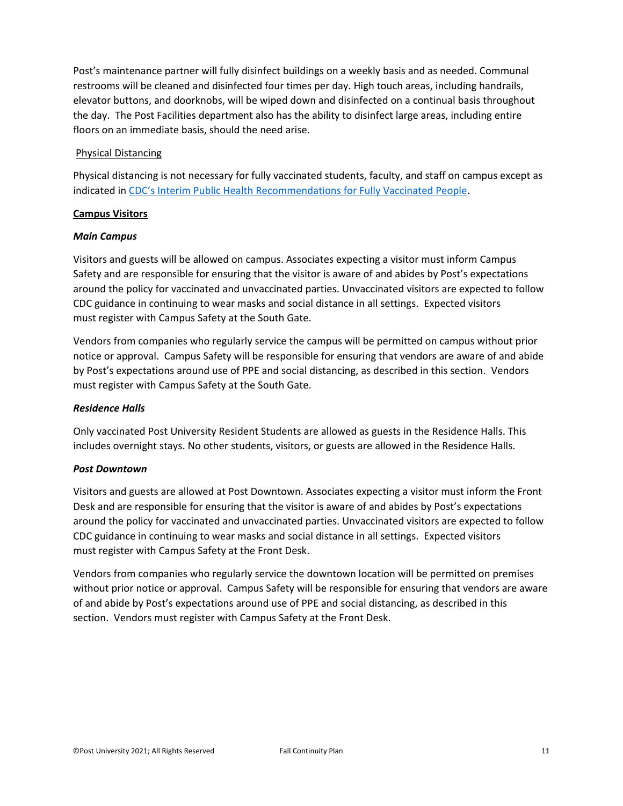Post's maintenance partner will fully disinfect buildings on a weekly basis and as needed. Communal restrooms will be cleaned and disinfected four times per day. High touch areas, including handrails, elevator buttons, and doorknobs, will be wiped down and disinfected on a continual basis throughout the day. The Post Facilities department also has the ability to disinfect large areas, including entire floors on an immediate basis, should the need arise.

## Physical Distancing

Physical distancing is not necessary for fully vaccinated students, faculty, and staff on campus except as indicated in [CDC's Interim Public Health Recommendations for Fully Vaccinated People](https://www.cdc.gov/coronavirus/2019-ncov/vaccines/fully-vaccinated-guidance.html).

#### **Campus Visitors**

#### *Main Campus*

Visitors and guests will be allowed on campus. Associates expecting a visitor must inform Campus Safety and are responsible for ensuring that the visitor is aware of and abides by Post's expectations around the policy for vaccinated and unvaccinated parties. Unvaccinated visitors are expected to follow CDC guidance in continuing to wear masks and social distance in all settings. Expected visitors must register with Campus Safety at the South Gate.

Vendors from companies who regularly service the campus will be permitted on campus without prior notice or approval. Campus Safety will be responsible for ensuring that vendors are aware of and abide by Post's expectations around use of PPE and social distancing, as described in this section. Vendors must register with Campus Safety at the South Gate.

#### *Residence Halls*

Only vaccinated Post University Resident Students are allowed as guests in the Residence Halls. This includes overnight stays. No other students, visitors, or guests are allowed in the Residence Halls.

#### *Post Downtown*

Visitors and guests are allowed at Post Downtown. Associates expecting a visitor must inform the Front Desk and are responsible for ensuring that the visitor is aware of and abides by Post's expectations around the policy for vaccinated and unvaccinated parties. Unvaccinated visitors are expected to follow CDC guidance in continuing to wear masks and social distance in all settings. Expected visitors must register with Campus Safety at the Front Desk.

Vendors from companies who regularly service the downtown location will be permitted on premises without prior notice or approval. Campus Safety will be responsible for ensuring that vendors are aware of and abide by Post's expectations around use of PPE and social distancing, as described in this section. Vendors must register with Campus Safety at the Front Desk.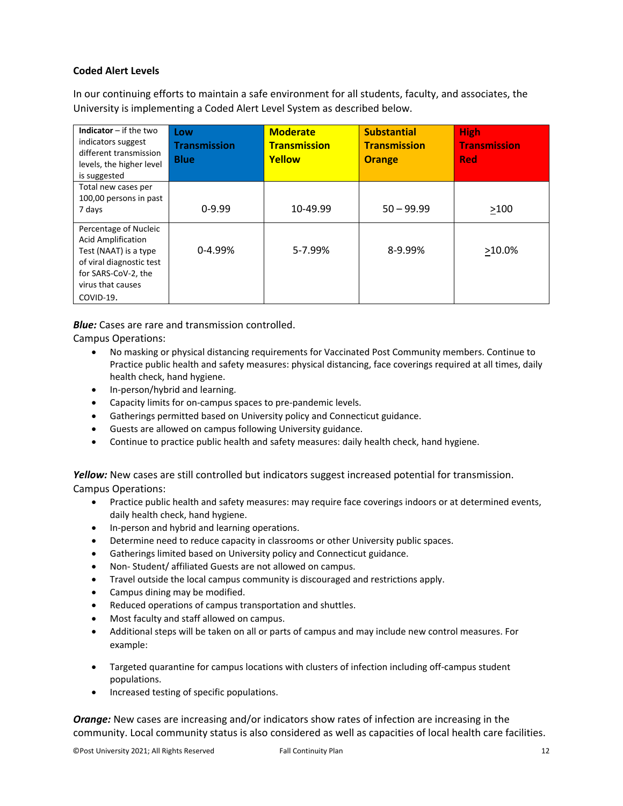#### **Coded Alert Levels**

In our continuing efforts to maintain a safe environment for all students, faculty, and associates, the University is implementing a Coded Alert Level System as described below.

| <b>Indicator</b> $-$ if the two<br>indicators suggest<br>different transmission<br>levels, the higher level<br>is suggested                                      | Low<br><b>Transmission</b><br><b>Blue</b> | <b>Moderate</b><br><b>Transmission</b><br>Yellow | <b>Substantial</b><br><b>Transmission</b><br><b>Orange</b> | <b>High</b><br><b>Transmission</b><br><b>Red</b> |
|------------------------------------------------------------------------------------------------------------------------------------------------------------------|-------------------------------------------|--------------------------------------------------|------------------------------------------------------------|--------------------------------------------------|
| Total new cases per<br>100,00 persons in past<br>7 days                                                                                                          | $0-9.99$                                  | 10-49.99                                         | $50 - 99.99$                                               | >100                                             |
| Percentage of Nucleic<br><b>Acid Amplification</b><br>Test (NAAT) is a type<br>of viral diagnostic test<br>for SARS-CoV-2, the<br>virus that causes<br>COVID-19. | $0 - 4.99%$                               | 5-7.99%                                          | 8-9.99%                                                    | $>10.0\%$                                        |

*Blue:* Cases are rare and transmission controlled.

Campus Operations:

- No masking or physical distancing requirements for Vaccinated Post Community members. Continue to Practice public health and safety measures: physical distancing, face coverings required at all times, daily health check, hand hygiene.
- In-person/hybrid and learning.
- Capacity limits for on-campus spaces to pre-pandemic levels.
- Gatherings permitted based on University policy and Connecticut guidance.
- Guests are allowed on campus following University guidance.
- Continue to practice public health and safety measures: daily health check, hand hygiene.

Yellow: New cases are still controlled but indicators suggest increased potential for transmission. Campus Operations:

- Practice public health and safety measures: may require face coverings indoors or at determined events, daily health check, hand hygiene.
- In-person and hybrid and learning operations.
- Determine need to reduce capacity in classrooms or other University public spaces.
- Gatherings limited based on University policy and Connecticut guidance.
- Non- Student/ affiliated Guests are not allowed on campus.
- Travel outside the local campus community is discouraged and restrictions apply.
- Campus dining may be modified.
- Reduced operations of campus transportation and shuttles.
- Most faculty and staff allowed on campus.
- Additional steps will be taken on all or parts of campus and may include new control measures. For example:
- Targeted quarantine for campus locations with clusters of infection including off-campus student populations.
- Increased testing of specific populations.

*Orange:* New cases are increasing and/or indicators show rates of infection are increasing in the community. Local community status is also considered as well as capacities of local health care facilities.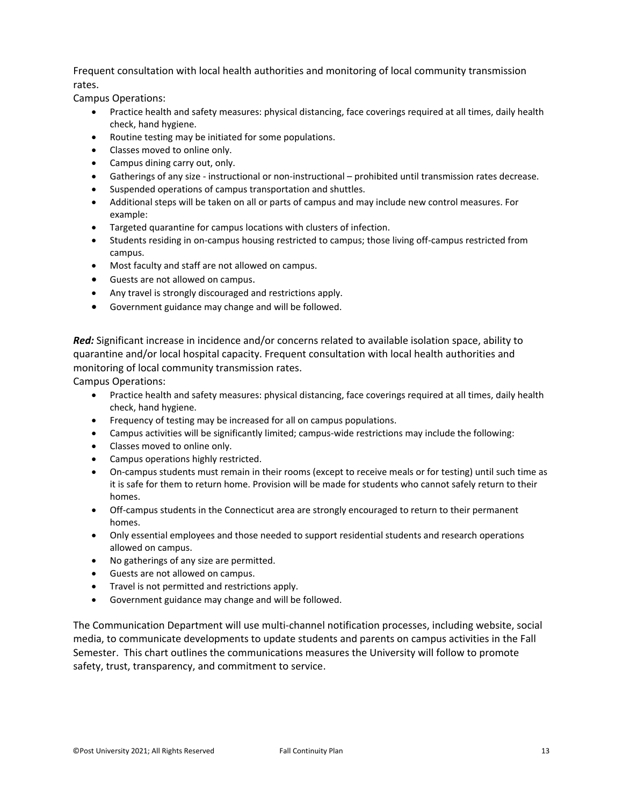Frequent consultation with local health authorities and monitoring of local community transmission rates.

Campus Operations:

- Practice health and safety measures: physical distancing, face coverings required at all times, daily health check, hand hygiene.
- Routine testing may be initiated for some populations.
- Classes moved to online only.
- Campus dining carry out, only.
- Gatherings of any size instructional or non-instructional prohibited until transmission rates decrease.
- Suspended operations of campus transportation and shuttles.
- Additional steps will be taken on all or parts of campus and may include new control measures. For example:
- Targeted quarantine for campus locations with clusters of infection.
- Students residing in on-campus housing restricted to campus; those living off-campus restricted from campus.
- Most faculty and staff are not allowed on campus.
- Guests are not allowed on campus.
- Any travel is strongly discouraged and restrictions apply.
- Government guidance may change and will be followed.

*Red:* Significant increase in incidence and/or concerns related to available isolation space, ability to quarantine and/or local hospital capacity. Frequent consultation with local health authorities and monitoring of local community transmission rates.

Campus Operations:

- Practice health and safety measures: physical distancing, face coverings required at all times, daily health check, hand hygiene.
- Frequency of testing may be increased for all on campus populations.
- Campus activities will be significantly limited; campus-wide restrictions may include the following:
- Classes moved to online only.
- Campus operations highly restricted.
- On-campus students must remain in their rooms (except to receive meals or for testing) until such time as it is safe for them to return home. Provision will be made for students who cannot safely return to their homes.
- Off-campus students in the Connecticut area are strongly encouraged to return to their permanent homes.
- Only essential employees and those needed to support residential students and research operations allowed on campus.
- No gatherings of any size are permitted.
- Guests are not allowed on campus.
- Travel is not permitted and restrictions apply.
- Government guidance may change and will be followed.

The Communication Department will use multi-channel notification processes, including website, social media, to communicate developments to update students and parents on campus activities in the Fall Semester. This chart outlines the communications measures the University will follow to promote safety, trust, transparency, and commitment to service.